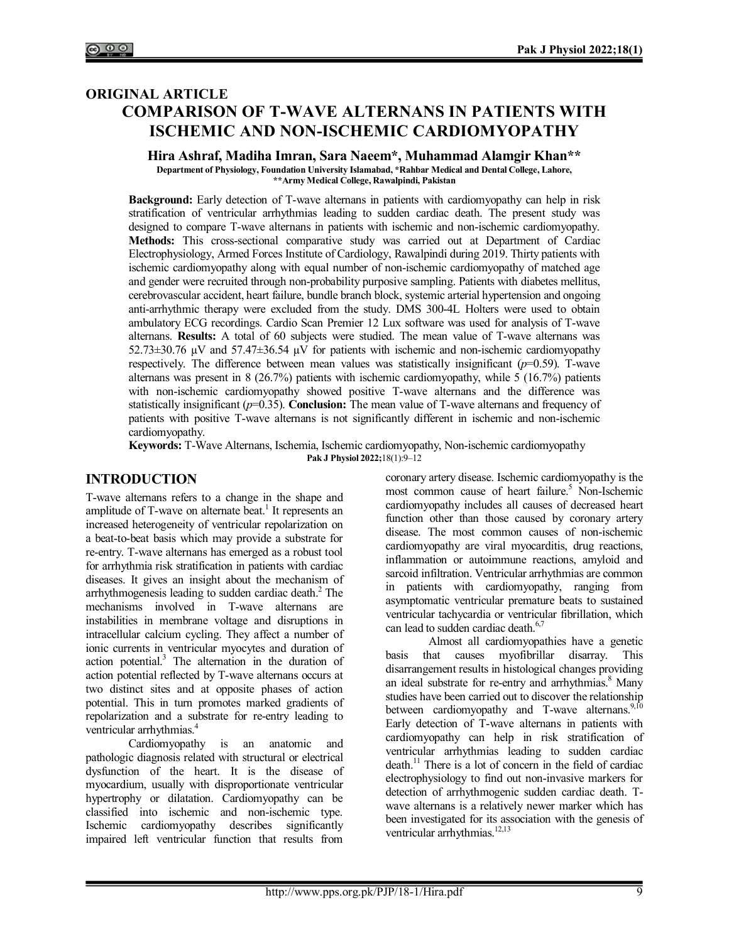# **ORIGINAL ARTICLE COMPARISON OF T-WAVE ALTERNANS IN PATIENTS WITH ISCHEMIC AND NON-ISCHEMIC CARDIOMYOPATHY**

**Hira Ashraf, Madiha Imran, Sara Naeem\*, Muhammad Alamgir Khan\*\***

**Department of Physiology, Foundation University Islamabad, \*Rahbar Medical and Dental College, Lahore, \*\*Army Medical College, Rawalpindi, Pakistan**

**Background:** Early detection of T-wave alternans in patients with cardiomyopathy can help in risk stratification of ventricular arrhythmias leading to sudden cardiac death. The present study was designed to compare T-wave alternans in patients with ischemic and non-ischemic cardiomyopathy. **Methods:** This cross-sectional comparative study was carried out at Department of Cardiac Electrophysiology, Armed Forces Institute of Cardiology, Rawalpindi during 2019. Thirty patients with ischemic cardiomyopathy along with equal number of non-ischemic cardiomyopathy of matched age and gender were recruited through non-probability purposive sampling. Patients with diabetes mellitus, cerebrovascular accident, heart failure, bundle branch block, systemic arterial hypertension and ongoing anti-arrhythmic therapy were excluded from the study. DMS 300-4L Holters were used to obtain ambulatory ECG recordings. Cardio Scan Premier 12 Lux software was used for analysis of T-wave alternans. **Results:** A total of 60 subjects were studied. The mean value of T-wave alternans was  $52.73\pm30.76$   $\mu$ V and  $57.47\pm36.54$   $\mu$ V for patients with ischemic and non-ischemic cardiomyopathy respectively. The difference between mean values was statistically insignificant  $(p=0.59)$ . T-wave alternans was present in 8 (26.7%) patients with ischemic cardiomyopathy, while 5 (16.7%) patients with non-ischemic cardiomyopathy showed positive T-wave alternans and the difference was statistically insignificant ( $p=0.35$ ). **Conclusion:** The mean value of T-wave alternans and frequency of patients with positive T-wave alternans is not significantly different in ischemic and non-ischemic cardiomyopathy.

**Keywords:** T-Wave Alternans, Ischemia, Ischemic cardiomyopathy, Non-ischemic cardiomyopathy **Pak J Physiol 2022;**18(1):9‒12

### **INTRODUCTION**

T-wave alternans refers to a change in the shape and amplitude of T-wave on alternate beat.<sup>1</sup> It represents an increased heterogeneity of ventricular repolarization on a beat-to-beat basis which may provide a substrate for re-entry. T-wave alternans has emerged as a robust tool for arrhythmia risk stratification in patients with cardiac diseases. It gives an insight about the mechanism of arrhythmogenesis leading to sudden cardiac death.<sup>2</sup> The mechanisms involved in T-wave alternans are instabilities in membrane voltage and disruptions in intracellular calcium cycling. They affect a number of ionic currents in ventricular myocytes and duration of action potential.<sup>3</sup> The alternation in the duration of action potential reflected by T-wave alternans occurs at two distinct sites and at opposite phases of action potential. This in turn promotes marked gradients of repolarization and a substrate for re-entry leading to ventricular arrhythmias.<sup>4</sup>

Cardiomyopathy is an anatomic and pathologic diagnosis related with structural or electrical dysfunction of the heart. It is the disease of myocardium, usually with disproportionate ventricular hypertrophy or dilatation. Cardiomyopathy can be classified into ischemic and non-ischemic type. Ischemic cardiomyopathy describes significantly impaired left ventricular function that results from

coronary artery disease. Ischemic cardiomyopathy is the most common cause of heart failure.<sup>5</sup> Non-Ischemic cardiomyopathy includes all causes of decreased heart function other than those caused by coronary artery disease. The most common causes of non-ischemic cardiomyopathy are viral myocarditis, drug reactions, inflammation or autoimmune reactions, amyloid and sarcoid infiltration. Ventricular arrhythmias are common in patients with cardiomyopathy, ranging from asymptomatic ventricular premature beats to sustained ventricular tachycardia or ventricular fibrillation, which can lead to sudden cardiac death.<sup>6,7</sup>

Almost all cardiomyopathies have a genetic basis that causes myofibrillar disarray. This disarrangement results in histological changes providing an ideal substrate for re-entry and arrhythmias.<sup>8</sup> Many studies have been carried out to discover the relationship between cardiomyopathy and T-wave alternans.<sup>9,10</sup> Early detection of T-wave alternans in patients with cardiomyopathy can help in risk stratification of ventricular arrhythmias leading to sudden cardiac death.<sup>11</sup> There is a lot of concern in the field of cardiac electrophysiology to find out non-invasive markers for detection of arrhythmogenic sudden cardiac death. Twave alternans is a relatively newer marker which has been investigated for its association with the genesis of ventricular arrhythmias.<sup>12,13</sup>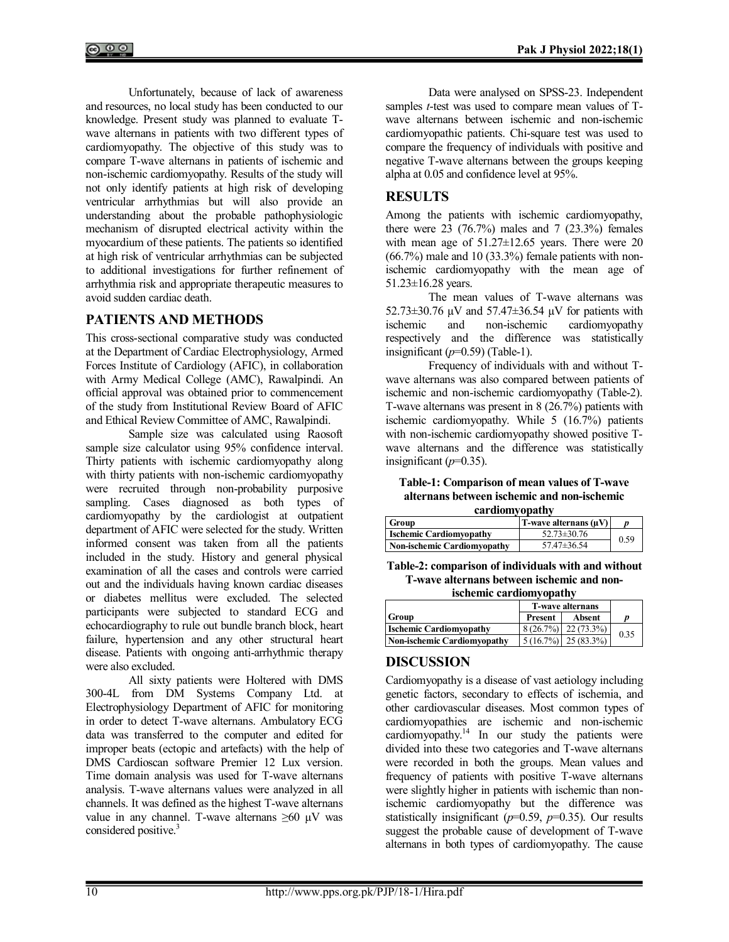Unfortunately, because of lack of awareness and resources, no local study has been conducted to our knowledge. Present study was planned to evaluate Twave alternans in patients with two different types of cardiomyopathy. The objective of this study was to compare T-wave alternans in patients of ischemic and non-ischemic cardiomyopathy. Results of the study will not only identify patients at high risk of developing ventricular arrhythmias but will also provide an understanding about the probable pathophysiologic mechanism of disrupted electrical activity within the myocardium of these patients. The patients so identified at high risk of ventricular arrhythmias can be subjected to additional investigations for further refinement of arrhythmia risk and appropriate therapeutic measures to avoid sudden cardiac death.

# **PATIENTS AND METHODS**

This cross-sectional comparative study was conducted at the Department of Cardiac Electrophysiology, Armed Forces Institute of Cardiology (AFIC), in collaboration with Army Medical College (AMC), Rawalpindi. An official approval was obtained prior to commencement of the study from Institutional Review Board of AFIC and Ethical Review Committee of AMC, Rawalpindi.

Sample size was calculated using Raosoft sample size calculator using 95% confidence interval. Thirty patients with ischemic cardiomyopathy along with thirty patients with non-ischemic cardiomyopathy were recruited through non-probability purposive sampling. Cases diagnosed as both types of cardiomyopathy by the cardiologist at outpatient department of AFIC were selected for the study. Written informed consent was taken from all the patients included in the study. History and general physical examination of all the cases and controls were carried out and the individuals having known cardiac diseases or diabetes mellitus were excluded. The selected participants were subjected to standard ECG and echocardiography to rule out bundle branch block, heart failure, hypertension and any other structural heart disease. Patients with ongoing anti-arrhythmic therapy were also excluded.

All sixty patients were Holtered with DMS 300-4L from DM Systems Company Ltd. at Electrophysiology Department of AFIC for monitoring in order to detect T-wave alternans. Ambulatory ECG data was transferred to the computer and edited for improper beats (ectopic and artefacts) with the help of DMS Cardioscan software Premier 12 Lux version. Time domain analysis was used for T-wave alternans analysis. T-wave alternans values were analyzed in all channels. It was defined as the highest T-wave alternans value in any channel. T-wave alternans  $\geq 60$   $\mu$ V was considered positive.<sup>3</sup>

Data were analysed on SPSS-23. Independent samples *t*-test was used to compare mean values of Twave alternans between ischemic and non-ischemic cardiomyopathic patients. Chi-square test was used to compare the frequency of individuals with positive and negative T-wave alternans between the groups keeping alpha at 0.05 and confidence level at 95%.

# **RESULTS**

Among the patients with ischemic cardiomyopathy, there were  $23$  (76.7%) males and 7 (23.3%) females with mean age of 51.27±12.65 years. There were 20 (66.7%) male and 10 (33.3%) female patients with nonischemic cardiomyopathy with the mean age of 51.23±16.28 years.

The mean values of T-wave alternans was 52.73±30.76 µV and 57.47±36.54 µV for patients with ischemic and non-ischemic cardiomyopathy respectively and the difference was statistically insignificant  $(p=0.59)$  (Table-1).

Frequency of individuals with and without Twave alternans was also compared between patients of ischemic and non-ischemic cardiomyopathy (Table-2). T-wave alternans was present in 8 (26.7%) patients with ischemic cardiomyopathy. While 5 (16.7%) patients with non-ischemic cardiomyopathy showed positive Twave alternans and the difference was statistically insignificant  $(p=0.35)$ .

**Table-1: Comparison of mean values of T-wave alternans between ischemic and non-ischemic cardiomyopathy**

| Group                              | $T$ -wave alternans $(\mu V)$ |      |
|------------------------------------|-------------------------------|------|
| <b>Ischemic Cardiomyopathy</b>     | $52.73 \pm 30.76$             | 0.59 |
| <b>Non-ischemic Cardiomyopathy</b> | $57.47 \pm 36.54$             |      |

**Table-2: comparison of individuals with and without T-wave alternans between ischemic and nonischemic cardiomyopathy**

|                                | <b>T-wave alternans</b> |                                               |      |
|--------------------------------|-------------------------|-----------------------------------------------|------|
| Group                          | <b>Present</b>          | Absent                                        |      |
| <b>Ischemic Cardiomyopathy</b> |                         | $8(26.7\%)$ 22 (73.3%)                        | 0.35 |
| Non-ischemic Cardiomyopathy    |                         | $\left  \frac{5(16.7\%)}{25(83.3\%)} \right $ |      |

# **DISCUSSION**

Cardiomyopathy is a disease of vast aetiology including genetic factors, secondary to effects of ischemia, and other cardiovascular diseases. Most common types of cardiomyopathies are ischemic and non-ischemic cardiomyopathy.<sup>14</sup> In our study the patients were divided into these two categories and T-wave alternans were recorded in both the groups. Mean values and frequency of patients with positive T-wave alternans were slightly higher in patients with ischemic than nonischemic cardiomyopathy but the difference was statistically insignificant (*p*=0.59, *p*=0.35). Our results suggest the probable cause of development of T-wave alternans in both types of cardiomyopathy. The cause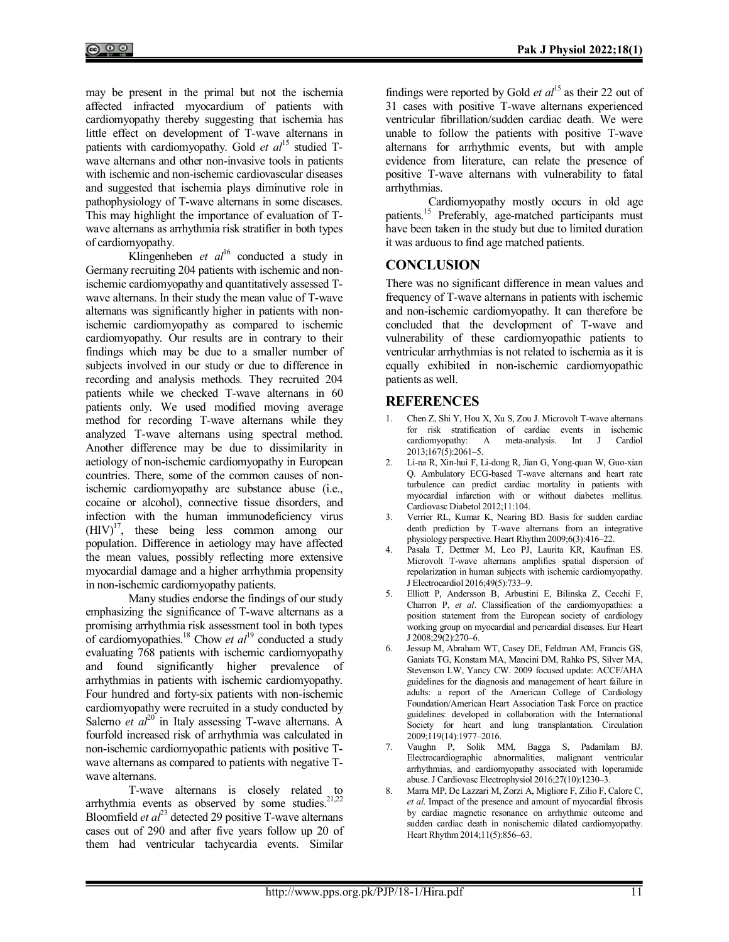may be present in the primal but not the ischemia affected infracted myocardium of patients with cardiomyopathy thereby suggesting that ischemia has little effect on development of T-wave alternans in patients with cardiomyopathy. Gold *et al*<sup>15</sup> studied Twave alternans and other non-invasive tools in patients with ischemic and non-ischemic cardiovascular diseases and suggested that ischemia plays diminutive role in pathophysiology of T-wave alternans in some diseases. This may highlight the importance of evaluation of Twave alternans as arrhythmia risk stratifier in both types of cardiomyopathy.

Klingenheben *et al*<sup>16</sup> conducted a study in Germany recruiting 204 patients with ischemic and nonischemic cardiomyopathy and quantitatively assessed Twave alternans. In their study the mean value of T-wave alternans was significantly higher in patients with nonischemic cardiomyopathy as compared to ischemic cardiomyopathy. Our results are in contrary to their findings which may be due to a smaller number of subjects involved in our study or due to difference in recording and analysis methods. They recruited 204 patients while we checked T-wave alternans in 60 patients only. We used modified moving average method for recording T-wave alternans while they analyzed T-wave alternans using spectral method. Another difference may be due to dissimilarity in aetiology of non-ischemic cardiomyopathy in European countries. There, some of the common causes of nonischemic cardiomyopathy are substance abuse (i.e., cocaine or alcohol), connective tissue disorders, and infection with the human immunodeficiency virus  $(HIV)^{17}$ , these being less common among our population. Difference in aetiology may have affected the mean values, possibly reflecting more extensive myocardial damage and a higher arrhythmia propensity in non-ischemic cardiomyopathy patients.

Many studies endorse the findings of our study emphasizing the significance of T-wave alternans as a promising arrhythmia risk assessment tool in both types of cardiomyopathies.<sup>18</sup> Chow *et al*<sup>19</sup> conducted a study evaluating 768 patients with ischemic cardiomyopathy and found significantly higher prevalence of arrhythmias in patients with ischemic cardiomyopathy. Four hundred and forty-six patients with non-ischemic cardiomyopathy were recruited in a study conducted by Salerno *et al*<sup>20</sup> in Italy assessing T-wave alternans. A fourfold increased risk of arrhythmia was calculated in non-ischemic cardiomyopathic patients with positive Twave alternans as compared to patients with negative Twave alternans.

T-wave alternans is closely related to arrhythmia events as observed by some studies.<sup>21,22</sup> Bloomfield *et al*<sup>23</sup> detected 29 positive T-wave alternans cases out of 290 and after five years follow up 20 of them had ventricular tachycardia events. Similar

findings were reported by Gold *et al*<sup>15</sup> as their 22 out of 31 cases with positive T-wave alternans experienced ventricular fibrillation/sudden cardiac death. We were unable to follow the patients with positive T-wave alternans for arrhythmic events, but with ample evidence from literature, can relate the presence of positive T-wave alternans with vulnerability to fatal arrhythmias.

Cardiomyopathy mostly occurs in old age patients.<sup>15</sup> Preferably, age-matched participants must have been taken in the study but due to limited duration it was arduous to find age matched patients.

### **CONCLUSION**

There was no significant difference in mean values and frequency of T-wave alternans in patients with ischemic and non-ischemic cardiomyopathy. It can therefore be concluded that the development of T-wave and vulnerability of these cardiomyopathic patients to ventricular arrhythmias is not related to ischemia as it is equally exhibited in non-ischemic cardiomyopathic patients as well.

# **REFERENCES**

- 1. Chen Z, Shi Y, Hou X, Xu S, Zou J. Microvolt T-wave alternans for risk stratification of cardiac events in ischemic cardiomyopathy: A meta-analysis. Int J Cardiol 2013;167(5):2061–5.
- 2. Li-na R, Xin-hui F, Li-dong R, Jian G, Yong-quan W, Guo-xian Q. Ambulatory ECG-based T-wave alternans and heart rate turbulence can predict cardiac mortality in patients with myocardial infarction with or without diabetes mellitus. Cardiovasc Diabetol 2012;11:104.
- 3. Verrier RL, Kumar K, Nearing BD. Basis for sudden cardiac death prediction by T-wave alternans from an integrative physiology perspective. Heart Rhythm 2009;6(3):416–22.
- 4. Pasala T, Dettmer M, Leo PJ, Laurita KR, Kaufman ES. Microvolt T-wave alternans amplifies spatial dispersion of repolarization in human subjects with ischemic cardiomyopathy. J Electrocardiol 2016;49(5):733–9.
- 5. Elliott P, Andersson B, Arbustini E, Bilinska Z, Cecchi F, Charron P, *et al*. Classification of the cardiomyopathies: a position statement from the European society of cardiology working group on myocardial and pericardial diseases. Eur Heart J 2008;29(2):270–6.
- 6. Jessup M, Abraham WT, Casey DE, Feldman AM, Francis GS, Ganiats TG, Konstam MA, Mancini DM, Rahko PS, Silver MA, Stevenson LW, Yancy CW. 2009 focused update: ACCF/AHA guidelines for the diagnosis and management of heart failure in adults: a report of the American College of Cardiology Foundation/American Heart Association Task Force on practice guidelines: developed in collaboration with the International Society for heart and lung transplantation. Circulation 2009;119(14):1977–2016.
- 7. Vaughn P, Solik MM, Bagga S, Padanilam BJ. Electrocardiographic abnormalities, malignant ventricular arrhythmias, and cardiomyopathy associated with loperamide abuse. J Cardiovasc Electrophysiol 2016;27(10):1230–3.
- 8. Marra MP, De Lazzari M, Zorzi A, Migliore F, Zilio F, Calore C, *et al*. Impact of the presence and amount of myocardial fibrosis by cardiac magnetic resonance on arrhythmic outcome and sudden cardiac death in nonischemic dilated cardiomyopathy. Heart Rhythm 2014;11(5):856–63.